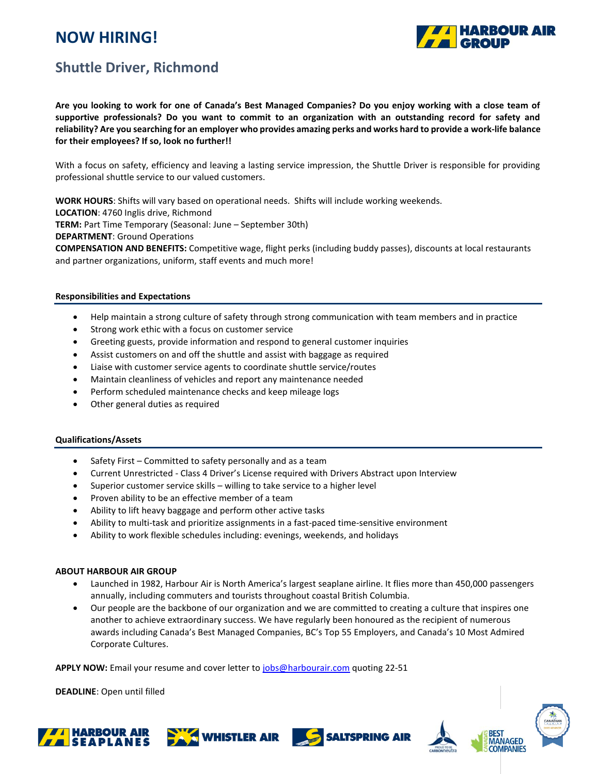# **NOW HIRING!**



### **Shuttle Driver, Richmond**

**Are you looking to work for one of Canada's Best Managed Companies? Do you enjoy working with a close team of supportive professionals? Do you want to commit to an organization with an outstanding record for safety and reliability? Are you searching for an employer who provides amazing perks and works hard to provide a work-life balance for their employees? If so, look no further!!**

With a focus on safety, efficiency and leaving a lasting service impression, the Shuttle Driver is responsible for providing professional shuttle service to our valued customers.

**WORK HOURS**: Shifts will vary based on operational needs. Shifts will include working weekends.

**LOCATION**: 4760 Inglis drive, Richmond

**TERM:** Part Time Temporary (Seasonal: June – September 30th)

**DEPARTMENT**: Ground Operations

**COMPENSATION AND BENEFITS:** Competitive wage, flight perks (including buddy passes), discounts at local restaurants and partner organizations, uniform, staff events and much more!

#### **Responsibilities and Expectations**

- Help maintain a strong culture of safety through strong communication with team members and in practice
- Strong work ethic with a focus on customer service
- Greeting guests, provide information and respond to general customer inquiries
- Assist customers on and off the shuttle and assist with baggage as required
- Liaise with customer service agents to coordinate shuttle service/routes
- Maintain cleanliness of vehicles and report any maintenance needed
- Perform scheduled maintenance checks and keep mileage logs
- Other general duties as required

#### **Qualifications/Assets**

- Safety First Committed to safety personally and as a team
- Current Unrestricted Class 4 Driver's License required with Drivers Abstract upon Interview
- Superior customer service skills willing to take service to a higher level
- Proven ability to be an effective member of a team
- Ability to lift heavy baggage and perform other active tasks
- Ability to multi-task and prioritize assignments in a fast-paced time-sensitive environment
- Ability to work flexible schedules including: evenings, weekends, and holidays

#### **ABOUT HARBOUR AIR GROUP**

- Launched in 1982, Harbour Air is North America's largest seaplane airline. It flies more than 450,000 passengers annually, including commuters and tourists throughout coastal British Columbia.
- Our people are the backbone of our organization and we are committed to creating a culture that inspires one another to achieve extraordinary success. We have regularly been honoured as the recipient of numerous awards including Canada's Best Managed Companies, BC's Top 55 Employers, and Canada's 10 Most Admired Corporate Cultures.

**APPLY NOW:** Email your resume and cover letter t[o jobs@harbourair.com](mailto:jobs@harbourair.com) quoting 22-51

**DEADLINE**: Open until filled